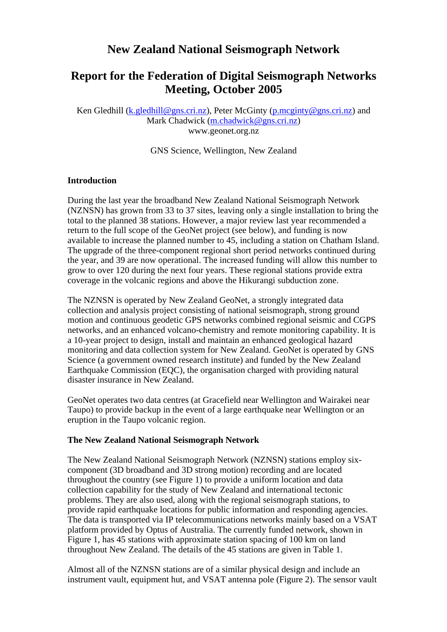# **New Zealand National Seismograph Network**

## **Report for the Federation of Digital Seismograph Networks Meeting, October 2005**

Ken Gledhill (k.gledhill@gns.cri.nz), Peter McGinty (p.mcginty@gns.cri.nz) and Mark Chadwick (m.chadwick@gns.cri.nz) www.geonet.org.nz

GNS Science, Wellington, New Zealand

#### **Introduction**

During the last year the broadband New Zealand National Seismograph Network (NZNSN) has grown from 33 to 37 sites, leaving only a single installation to bring the total to the planned 38 stations. However, a major review last year recommended a return to the full scope of the GeoNet project (see below), and funding is now available to increase the planned number to 45, including a station on Chatham Island. The upgrade of the three-component regional short period networks continued during the year, and 39 are now operational. The increased funding will allow this number to grow to over 120 during the next four years. These regional stations provide extra coverage in the volcanic regions and above the Hikurangi subduction zone.

The NZNSN is operated by New Zealand GeoNet, a strongly integrated data collection and analysis project consisting of national seismograph, strong ground motion and continuous geodetic GPS networks combined regional seismic and CGPS networks, and an enhanced volcano-chemistry and remote monitoring capability. It is a 10-year project to design, install and maintain an enhanced geological hazard monitoring and data collection system for New Zealand. GeoNet is operated by GNS Science (a government owned research institute) and funded by the New Zealand Earthquake Commission (EQC), the organisation charged with providing natural disaster insurance in New Zealand.

GeoNet operates two data centres (at Gracefield near Wellington and Wairakei near Taupo) to provide backup in the event of a large earthquake near Wellington or an eruption in the Taupo volcanic region.

#### **The New Zealand National Seismograph Network**

The New Zealand National Seismograph Network (NZNSN) stations employ sixcomponent (3D broadband and 3D strong motion) recording and are located throughout the country (see Figure 1) to provide a uniform location and data collection capability for the study of New Zealand and international tectonic problems. They are also used, along with the regional seismograph stations, to provide rapid earthquake locations for public information and responding agencies. The data is transported via IP telecommunications networks mainly based on a VSAT platform provided by Optus of Australia. The currently funded network, shown in Figure 1, has 45 stations with approximate station spacing of 100 km on land throughout New Zealand. The details of the 45 stations are given in Table 1.

Almost all of the NZNSN stations are of a similar physical design and include an instrument vault, equipment hut, and VSAT antenna pole (Figure 2). The sensor vault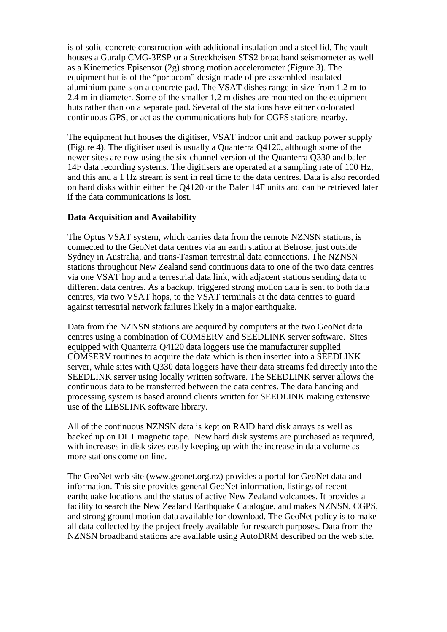is of solid concrete construction with additional insulation and a steel lid. The vault houses a Guralp CMG-3ESP or a Streckheisen STS2 broadband seismometer as well as a Kinemetics Episensor (2g) strong motion accelerometer (Figure 3). The equipment hut is of the "portacom" design made of pre-assembled insulated aluminium panels on a concrete pad. The VSAT dishes range in size from 1.2 m to 2.4 m in diameter. Some of the smaller 1.2 m dishes are mounted on the equipment huts rather than on a separate pad. Several of the stations have either co-located continuous GPS, or act as the communications hub for CGPS stations nearby.

The equipment hut houses the digitiser, VSAT indoor unit and backup power supply (Figure 4). The digitiser used is usually a Quanterra Q4120, although some of the newer sites are now using the six-channel version of the Quanterra Q330 and baler 14F data recording systems. The digitisers are operated at a sampling rate of 100 Hz, and this and a 1 Hz stream is sent in real time to the data centres. Data is also recorded on hard disks within either the Q4120 or the Baler 14F units and can be retrieved later if the data communications is lost.

### **Data Acquisition and Availability**

The Optus VSAT system, which carries data from the remote NZNSN stations, is connected to the GeoNet data centres via an earth station at Belrose, just outside Sydney in Australia, and trans-Tasman terrestrial data connections. The NZNSN stations throughout New Zealand send continuous data to one of the two data centres via one VSAT hop and a terrestrial data link, with adjacent stations sending data to different data centres. As a backup, triggered strong motion data is sent to both data centres, via two VSAT hops, to the VSAT terminals at the data centres to guard against terrestrial network failures likely in a major earthquake.

Data from the NZNSN stations are acquired by computers at the two GeoNet data centres using a combination of COMSERV and SEEDLINK server software. Sites equipped with Quanterra Q4120 data loggers use the manufacturer supplied COMSERV routines to acquire the data which is then inserted into a SEEDLINK server, while sites with Q330 data loggers have their data streams fed directly into the SEEDLINK server using locally written software. The SEEDLINK server allows the continuous data to be transferred between the data centres. The data handing and processing system is based around clients written for SEEDLINK making extensive use of the LIBSLINK software library.

All of the continuous NZNSN data is kept on RAID hard disk arrays as well as backed up on DLT magnetic tape. New hard disk systems are purchased as required, with increases in disk sizes easily keeping up with the increase in data volume as more stations come on line.

The GeoNet web site (www.geonet.org.nz) provides a portal for GeoNet data and information. This site provides general GeoNet information, listings of recent earthquake locations and the status of active New Zealand volcanoes. It provides a facility to search the New Zealand Earthquake Catalogue, and makes NZNSN, CGPS, and strong ground motion data available for download. The GeoNet policy is to make all data collected by the project freely available for research purposes. Data from the NZNSN broadband stations are available using AutoDRM described on the web site.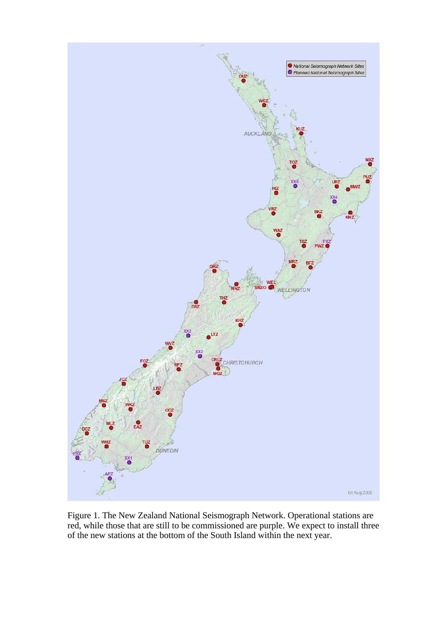

Figure 1. The New Zealand National Seismograph Network. Operational stations are red, while those that are still to be commissioned are purple. We expect to install three of the new stations at the bottom of the South Island within the next year.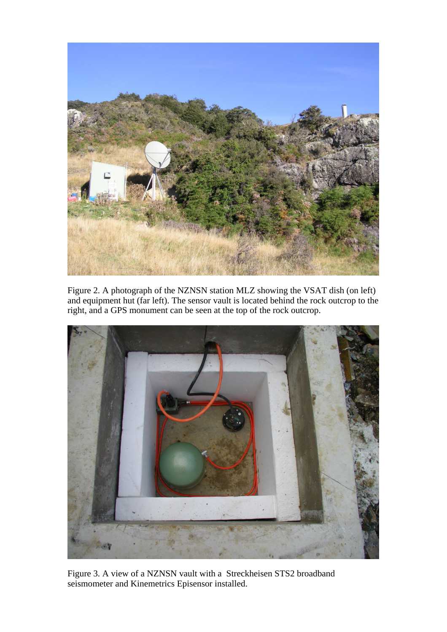

Figure 2. A photograph of the NZNSN station MLZ showing the VSAT dish (on left) and equipment hut (far left). The sensor vault is located behind the rock outcrop to the right, and a GPS monument can be seen at the top of the rock outcrop.



Figure 3. A view of a NZNSN vault with a Streckheisen STS2 broadband seismometer and Kinemetrics Episensor installed.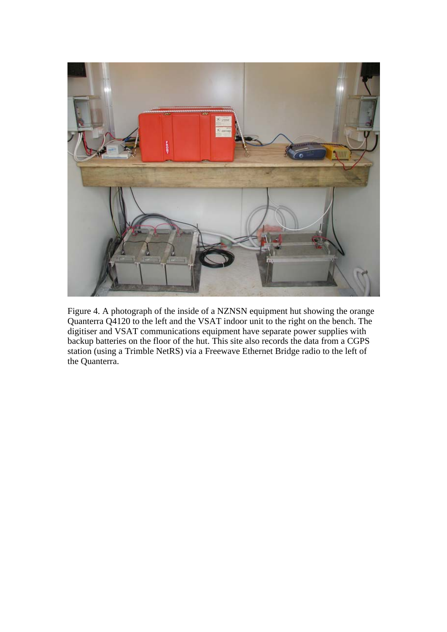

Figure 4. A photograph of the inside of a NZNSN equipment hut showing the orange Quanterra Q4120 to the left and the VSAT indoor unit to the right on the bench. The digitiser and VSAT communications equipment have separate power supplies with backup batteries on the floor of the hut. This site also records the data from a CGPS station (using a Trimble NetRS) via a Freewave Ethernet Bridge radio to the left of the Quanterra.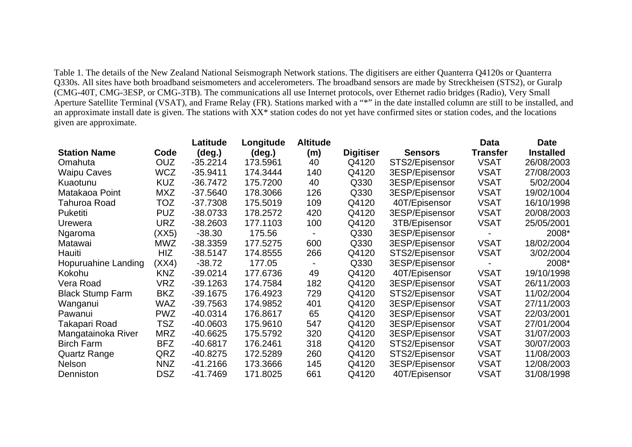Table 1. The details of the New Zealand National Seismograph Network stations. The digitisers are either Quanterra Q4120s or Quanterra Q330s. All sites have both broadband seismometers and accelerometers. The broadband sensors are made by Streckheisen (STS2), or Guralp (CMG-40T, CMG-3ESP, or CMG-3TB). The communications all use Internet protocols, over Ethernet radio bridges (Radio), Very Small Aperture Satellite Terminal (VSAT), and Frame Relay (FR). Stations marked with a "\*" in the date installed column are still to be installed, and an approximate install date is given. The stations with XX\* station codes do not yet have confirmed sites or station codes, and the locations given are approximate.

|                         |            | Latitude   | Longitude       | <b>Altitude</b> |                  |                | <b>Data</b>     | <b>Date</b>      |
|-------------------------|------------|------------|-----------------|-----------------|------------------|----------------|-----------------|------------------|
| <b>Station Name</b>     | Code       | (deg.)     | $(\text{deg.})$ | (m)             | <b>Digitiser</b> | <b>Sensors</b> | <b>Transfer</b> | <b>Installed</b> |
| Omahuta                 | <b>OUZ</b> | $-35.2214$ | 173.5961        | 40              | Q4120            | STS2/Episensor | <b>VSAT</b>     | 26/08/2003       |
| <b>Waipu Caves</b>      | <b>WCZ</b> | $-35.9411$ | 174.3444        | 140             | Q4120            | 3ESP/Episensor | <b>VSAT</b>     | 27/08/2003       |
| Kuaotunu                | <b>KUZ</b> | $-36.7472$ | 175.7200        | 40              | Q330             | 3ESP/Episensor | <b>VSAT</b>     | 5/02/2004        |
| Matakaoa Point          | <b>MXZ</b> | $-37.5640$ | 178.3066        | 126             | Q330             | 3ESP/Episensor | <b>VSAT</b>     | 19/02/1004       |
| Tahuroa Road            | TOZ        | $-37.7308$ | 175.5019        | 109             | Q4120            | 40T/Episensor  | <b>VSAT</b>     | 16/10/1998       |
| Puketiti                | <b>PUZ</b> | $-38.0733$ | 178.2572        | 420             | Q4120            | 3ESP/Episensor | <b>VSAT</b>     | 20/08/2003       |
| Urewera                 | URZ        | $-38.2603$ | 177.1103        | 100             | Q4120            | 3TB/Episensor  | <b>VSAT</b>     | 25/05/2001       |
| Ngaroma                 | (XX5)      | $-38.30$   | 175.56          |                 | Q330             | 3ESP/Episensor |                 | 2008*            |
| Matawai                 | MWZ        | $-38.3359$ | 177.5275        | 600             | Q330             | 3ESP/Episensor | <b>VSAT</b>     | 18/02/2004       |
| Hauiti                  | HIZ        | $-38.5147$ | 174.8555        | 266             | Q4120            | STS2/Episensor | <b>VSAT</b>     | 3/02/2004        |
| Hopuruahine Landing     | (XX4)      | $-38.72$   | 177.05          |                 | Q330             | 3ESP/Episensor |                 | 2008*            |
| Kokohu                  | <b>KNZ</b> | $-39.0214$ | 177.6736        | 49              | Q4120            | 40T/Episensor  | <b>VSAT</b>     | 19/10/1998       |
| Vera Road               | VRZ        | $-39.1263$ | 174.7584        | 182             | Q4120            | 3ESP/Episensor | <b>VSAT</b>     | 26/11/2003       |
| <b>Black Stump Farm</b> | <b>BKZ</b> | $-39.1675$ | 176.4923        | 729             | Q4120            | STS2/Episensor | <b>VSAT</b>     | 11/02/2004       |
| Wanganui                | WAZ        | -39.7563   | 174.9852        | 401             | Q4120            | 3ESP/Episensor | <b>VSAT</b>     | 27/11/2003       |
| Pawanui                 | <b>PWZ</b> | $-40.0314$ | 176.8617        | 65              | Q4120            | 3ESP/Episensor | <b>VSAT</b>     | 22/03/2001       |
| Takapari Road           | <b>TSZ</b> | -40.0603   | 175.9610        | 547             | Q4120            | 3ESP/Episensor | <b>VSAT</b>     | 27/01/2004       |
| Mangatainoka River      | <b>MRZ</b> | $-40.6625$ | 175.5792        | 320             | Q4120            | 3ESP/Episensor | <b>VSAT</b>     | 31/07/2003       |
| <b>Birch Farm</b>       | <b>BFZ</b> | $-40.6817$ | 176.2461        | 318             | Q4120            | STS2/Episensor | <b>VSAT</b>     | 30/07/2003       |
| <b>Quartz Range</b>     | QRZ        | $-40.8275$ | 172.5289        | 260             | Q4120            | STS2/Episensor | <b>VSAT</b>     | 11/08/2003       |
| <b>Nelson</b>           | <b>NNZ</b> | -41.2166   | 173.3666        | 145             | Q4120            | 3ESP/Episensor | <b>VSAT</b>     | 12/08/2003       |
| Denniston               | <b>DSZ</b> | $-41.7469$ | 171.8025        | 661             | Q4120            | 40T/Episensor  | <b>VSAT</b>     | 31/08/1998       |